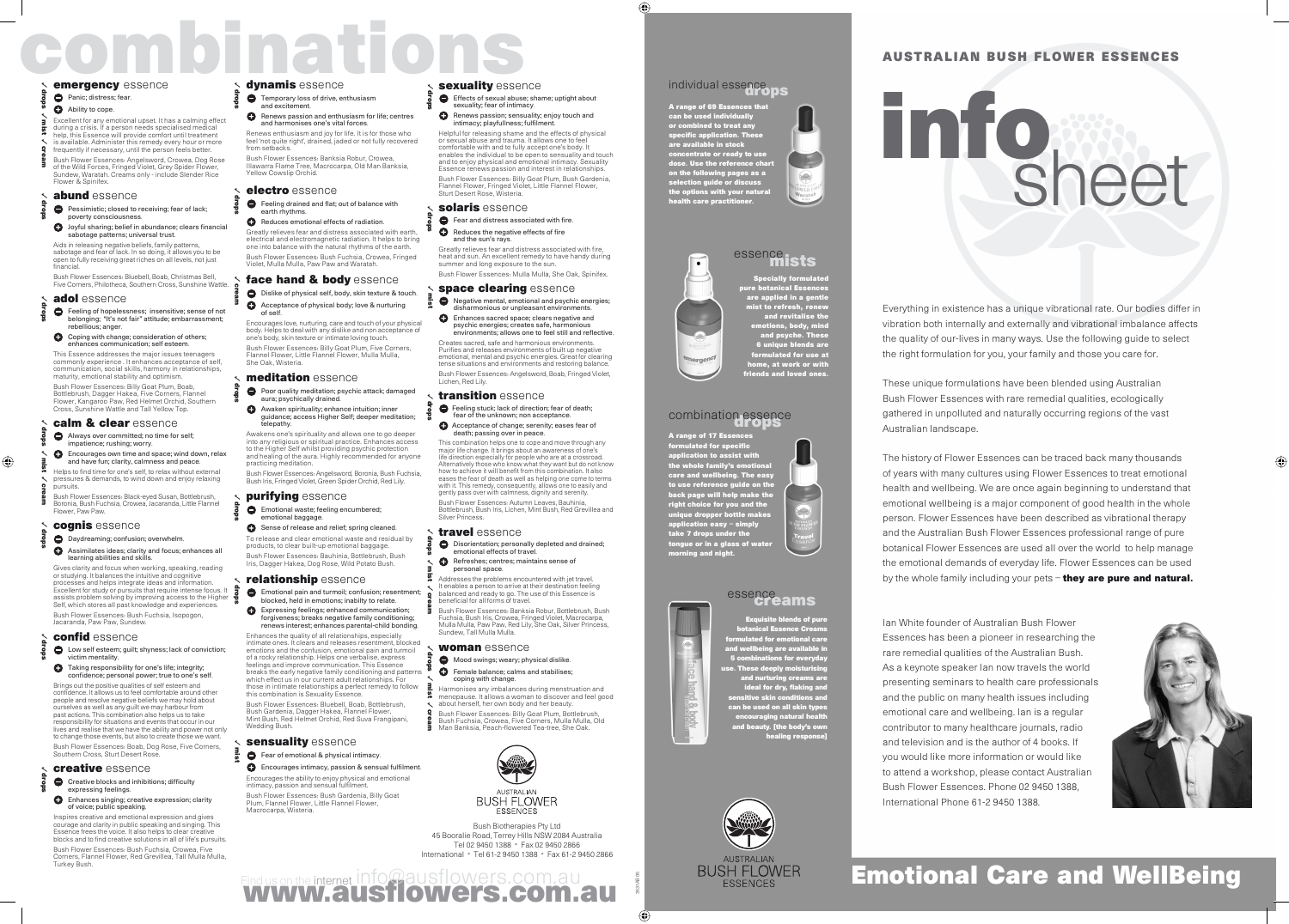## COMBINE SUBSERVICES<br> **combinations and the company of the company in the company of the company in the company of the company in the company of the company of the company of the company of the company of the company of th**

#### emergency essence

#### Panic; distress; fear.

#### Ability to cope.

Excellent for any emotional upset. It has a calming effect during a crisis. If a person needs specialised medical help, this Essence will provide comfort until treatment is available. Administer this remedy every hour or more frequently if necessary, until the person feels better.

- **Pessimistic; closed to receiving; fear of lack;** poverty consciousness.
- Joyful sharing; belief in abundance; clears financial sabotage patterns; universal trust.

Bush Flower Essences: Angelsword, Crowea, Dog Rose of the Wild Forces, Fringed Violet, Grey Spider Flower, Sundew, Waratah. Creams only - include Slender Rice Flower & Spinifex.

#### abund essence

**Feeling of hopelessness; insensitive; sense of not** belonging; "It's not fair" attitude; embarrassment; rebellious; anger.

#### **Coping with change; consideration of others;** enhances communication; self esteem.

Aids in releasing negative beliefs, family patterns, sabotage and fear of lack. In so doing, it allows you to be open to fully receiving great riches on all levels, not just financial.

#### Always over committed; no time for self; impatience; rushing; worry.

**C** Encourages own time and space; wind down, relax and have fun; clarity, calmness and peace.

Bush Flower Essences: Bluebell, Boab, Christmas Bell, Five Corners, Philotheca, Southern Cross, Sunshine Wattle.

#### adol essence

Gives clarity and focus when working, speaking, reading or studying. It balances the intuitive and cognitive processes and helps integrate ideas and information. Excellent for study or pursuits that require intense focus. It assists problem solving by improving access to the Higher Self, which stores all past knowledge and experiences. Bush Flower Essences: Bush Fuchsia, Isopogon, Jacaranda, Paw Paw, Sundew. **SECONDER CONFINITE CONTENT CONFINITE CONTENT CONTENT CONTENT CONTENT CONTENT CONTENT CONTENT CONTENT CONTENT CONTENT CONTENT CONTENT CONTENT CONTENT CONTENT CONTENT CONTENT CONTENT CONTENT CONTENT CONTENT CONTENT CONTEN EXPRESSION CONFERENCE CONTROLS CONFERENCE CONTROLS CONFERENCE CONFERENCE CONFERENCE CONFERENCE CONFERENCE CONFERENCE CONFERENCE CONFERENCE CONFERENCE CONFERENCE CONFERENCE CONFERENCE CONFERENCE CONFERENCE CONFERENCE CO** 

#### confid essence

Taking responsibility for one's life; integrity; confidence; personal power; true to one's self. Brings out the positive qualities of self esteem and confidence. It allows us to feel comfortable around other people and resolve negative beliefs we may hold about ourselves as well as any guilt we may harbour from past actions. This combination also helps us to take responsibility for situations and events that occur in our lives and realise that we have the ability and power not only to change those events, but also to create those we want. Solution and the cream continue of the cream continue of the cream continue of the cream continue of the cream continue of the cream continue of the cream continue of the cream continue of the cream continue of the crea

This Essence addresses the major issues teenagers commonly experience . It enhances acceptance of self, communication, social skills, harmony in relationships, maturity, emotional stability and optimism. Bush Flower Essences: Billy Goat Plum, Boab, Bottlebrush, Dagger Hakea, Five Corners, Flannel Flower, Kangaroo Paw, Red Helmet Orchid, Southern Cross, Sunshine Wattle and Tall Yellow Top.

#### calm & clear essence

**Creative blocks and inhibitions; difficulty** expressing feelings.

#### **C** Enhances singing; creative expression; clarity of voice; public speaking.

Inspires creative and emotional expression and gives courage and clarity in public speaking and singing. This Essence frees the voice. It also helps to clear creative blocks and to find creative solutions in all of life's pursuits. Bush Flower Essences: Bush Fuchsia, Crowea, Five Corners, Flannel Flower, Red Grevillea, Tall Mulla Mulla,<br>Corners, Flannel Flower, Red Grevillea, Tall Mulla Mulla,<br>Turkey Bush.

#### dvnamis essence

Helps to find time for one's self, to relax without external pressures & demands, to wind down and enjoy relaxing pursuits.

Bush Flower Essences: Black-eyed Susan, Bottlebrush, Boronia, Bush Fuchsia, Crowea, Jacaranda, Little Flannel Flower, Paw Paw.

#### cognis essence

**O** Daydreaming; confusion; overwhelm.

A range of 17 Essences formulated for specific application to assist with the whole family's emotional care and wellbeing. The easy to use reference guide on the back page will help make the right choice for you and the unique dropper bottle makes application easy – simply take 7 drops under the tongue or in a glass of water migae communications.<br>Corning and night.

#### essence<br>
Greams

#### Assimilates ideas; clarity and focus; enhances all learning abilities and skills.

.<br><u>Iisite ble</u>nds of pure botanical Essence Creams formulated for emotional care and wellbeing are available in 5 combinations for everyday use. These deeply moisturising and nurturing creams are ideal for dry, flaking and sensitive skin conditions and can be used on all skin types<br>can be used on all skin types encouraging natural health and beauty. [the body's own healing response]

A range of 69 Essences that<br>Any house that the the can be used indi or combined to treat any specific application. These are available in stock concentrate or ready to use dose. Use the reference chart on the following pages as a selection guide or discuss the options with your natural health care practitioner.



#### essence<sub>llats</sub>

Low self esteem; guilt; shyness; lack of conviction; victim mentality.

The history of Flower Essences can be traced back many thousands of years with many cultures using Flower Essences to treat emotional health and wellbeing. We are once again beginning to understand that emotional wellbeing is a major component of good health in the whole person. Flower Essences have been described as vibrational therapy and the Australian Bush Flower Essences professional range of pure botanical Flower Essences are used all over the world to help manage the emotional demands of everyday life. Flower Essences can be used by the whole family including your pets – they are pure and natural.

Bush Flower Essences: Boab, Dog Rose, Five Corners,

#### Southern Cross, Sturt Desert Ro. creative essence

- **O** Temporary loss of drive, enthusiasm and excitement.
- **C** Renews passion and enthusiasm for life; centres and harmonises one's vital forces.

**C** Feeling drained and flat; out of balance with earth rhythms.

> Specially formulated pure botanical Essences are applied in a gentle mist to refresh, renew and revitalise the emotions, body, mind and psyche. These 6 unique blends are formulated for use at home, at work or with friends and loved ones.

#### combination essence

**Poor quality meditation; psychic attack; damaged** aura; psychically drained. Awaken spirituality; enhance intuition; inner

Emotional waste; feeling encumbered; emotional baggage.

Sense of release and relief; spring cleaned. To release and clear emotional waste and residual by products, to clear built-up emotional baggage. Bush Flower Essences: Bauhinia, Bottlebrush, Bush

- **Emotional pain and turmoil; confusion; resentment;** blocked, held in emotions; inabilty to relate.
- **Expressing feelings; enhanced communication;** forgiveness; breaks negative family conditioning; renews interest; enhances parental-child bonding.

Constitution and the existe of the set of the set of the set of the set of the set of the set of the set of the set of the set of the set of the set of the set of the set of the set of the set of the set of the set of the Enhances the quality of all relationships, especially intimate ones. It clears and releases resentment, blocked emotions and the confusion, emotional pain and turmoil of a rocky relationship. Helps one verbalise, express feelings and improve communication. This Essence breaks the early negative family conditioning and patterns which effect us in our current adult relationships. For those in intimate relationships a perfect remedy to follow this combination is Sexuality Essence.

Everything in existence has a unique vibrational rate. Our bodies differ in vibration both internally and externally and vibrational imbalance affects the quality of our-lives in many ways. Use the following guide to select the right formulation for you, your family and those you care for.

These unique formulations have been blended using Australian Bush Flower Essences with rare remedial qualities, ecologically gathered in unpolluted and naturally occurring regions of the vast Australian landscape.

Fear and distress associated with fire. **Reduces the negative effects of fire** 

**Negative mental, emotional and psychic energies;** disharmonious or unpleasant environments.

- fear of the unknown; non acceptance
- Acceptance of change; serenity; eases fear of death; passing over in peace.

**Disorientation; personally depleted and drained;** emotional effects of travel.

**Refreshes; centres; maintains sense of** personal space.

> Ian White founder of Australian Bush Flower Essences has been a pioneer in researching the rare remedial qualities of the Australian Bush. As a keynote speaker Ian now travels the world presenting seminars to health care professionals and the public on many health issues including emotional care and wellbeing. Ian is a regular contributor to many healthcare journals, radio and television and is the author of 4 books. If you would like more information or would like to attend a workshop, please contact Australian Bush Flower Essences. Phone 02 9450 1388, International Phone 61-2 9450 1388.



### **BUSH FLOWER Emotional Care and WellBeing**

- Mood swings; weary; physical dislike **O** Female balance; calms and stabilises;
- ✓ mist coping with change. Harmonises any imbalances during menstruation and

# info sheet

✓ mist

✓ cream

Feeling stuck; lack of direction; fear of death; ✓ drops

✓ drops ✓ mist

Find us on the internet info@ausflowers.com.au WWW.ausflowers.com.au

Bush Biotherapies Pty Ltd 45 Booralie Road, Terrey Hills NSW 2084 Australia Tel 02 9450 1388 • Fax 02 9450 2866 International • Tel 61-2 9450 1388 • Fax 61-2 9450 2866

3531AB 05

#### individual essence pps

Renews enthusiasm and joy for life. It is for those who feel 'not quite right', drained, jaded or not fully recovered from setbacks. Bush Flower Essences: Banksia Robur, Crowea,

Illawarra Flame Tree, Macrocarpa, Old Man Banksia, Yellow Cowslip Orchid.

#### electro essence

 Reduces emotional effects of radiation. Greatly relieves fear and distress associated with earth, electrical and electromagnetic radiation. It helps to bring one into balance with the natural rhythms of the earth. Bush Flower Essences: Bush Fuchsia, Crowea, Fringed Violet, Mulla Mulla, Paw Paw and Waratah.

#### face hand & body essence

Dislike of physical self, body, skin texture & touch. Acceptance of physical body; love & nurturing of self.

Encourages love, nurturing, care and touch of your physical body. Helps to deal with any dislike and non acceptance of one's body, skin texture or intimate loving touch. Bush Flower Essences: Billy Goat Plum, Five Corners, Flannel Flower, Little Flannel Flower, Mulla Mulla, She Oak, Wisteria.

#### meditation essence

guidance; access Higher Self; deeper meditation; telepathy.

Awakens one's spirituality and allows one to go deeper into any religious or spiritual practice. Enhances access to the Higher Self whilst providing psychic protection and healing of the aura. Highly recommended for anyone practicing meditation.

Bush Flower Essences: Angelsword, Boronia, Bush Fuchsia, Bush Iris, Fringed Violet, Green Spider Orchid, Red Lily.

#### purifying essence

Iris, Dagger Hakea, Dog Rose, Wild Potato Bush.

#### relationship essence

Bush Flower Essences: Bluebell, Boab, Bottlebrush, Bush Gardenia, Dagger Hakea, Flannel Flower, Mint Bush, Red Helmet Orchid, Red Suva Frangipani, Wedding Bush.

#### sensuality essence

**e** Fear of emotional & physical intimacy.

✓ Bush Flower Essences: Billy Goat Plum, Bottlebrush, Bush Fuchsia, Crowea, Five Corners, Mulla Mulla, Old Man Banksia, Peach-flowered Tea-tree, She Oak.



**BUSH FLOWER** 

Encourages intimacy, passion & sensual fulfilment. Encourages the ability to enjoy physical and emotional intimacy, passion and sensual fulfilment.

Bush Flower Essences: Bush Gardenia, Billy Goat Plum, Flannel Flower, Little Flannel Flower, Macrocarpa, Wisteria.

#### sexuality essence

- Effects of sexual abuse; shame; uptight about sexuality; fear of intimacy.
- Renews passion; sensuality; enjoy touch and intimacy; playfullness; fulfilment.

Helpful for releasing shame and the effects of physical or sexual abuse and trauma. It allows one to feel comfortable with and to fully accept one's body. It enables the individual to be open to sensuality and touch and to enjoy physical and emotional intimacy. Sexuality Essence renews passion and interest in relationships. Bush Flower Essences: Billy Goat Plum, Bush Gardenia, Flannel Flower, Fringed Violet, Little Flannel Flower, Sturt Desert Rose, Wisteria.

#### solaris essence

and the sun's rays.

Greatly relieves fear and distress associated with fire, heat and sun. An excellent remedy to have handy during summer and long exposure to the sun. Bush Flower Essences: Mulla Mulla, She Oak, Spinifex.

#### space clearing essence

Enhances sacred space; clears negative and psychic energies; creates safe, harmonious environments; allows one to feel still and reflective.

Creates sacred, safe and harmonious environments. Purifies and releases environments of built up negative emotional, mental and psychic energies. Great for clearing tense situations and environments and restoring balance. Bush Flower Essences: Angelsword, Boab, Fringed Violet, Lichen, Red Lily.

#### transition essence

This combination helps one to cope and move through any major life change. It brings about an awareness of one's life direction especially for people who are at a crossroad. Alternatively those who know what they want but do not know how to achieve it will benefit from this combination. It also eases the fear of death as well as helping one come to terms with it. This remedy, consequently, allows one to easily and gently pass over with calmness, dignity and serenity. Bush Flower Essences: Autumn Leaves, Bauhinia, Bottlebrush, Bush Iris, Lichen, Mint Bush, Red Grevillea and Silver Princess.

#### travel essence

Addresses the problems encountered with jet travel. It enables a person to arrive at their destination feeling balanced and ready to go. The use of this Essence is beneficial for all forms of travel.

Bush Flower Essences: Banksia Robur, Bottlebrush, Bush Fuchsia, Bush Iris, Crowea, Fringed Violet, Macrocarpa, Mulla Mulla, Paw Paw, Red Lily, She Oak, Silver Princess, Sundew, Tall Mulla Mulla.

#### woman essence

menopause. It allows a woman to discover and feel good about herself, her own body and her beauty.

✓ drops

✓ drops